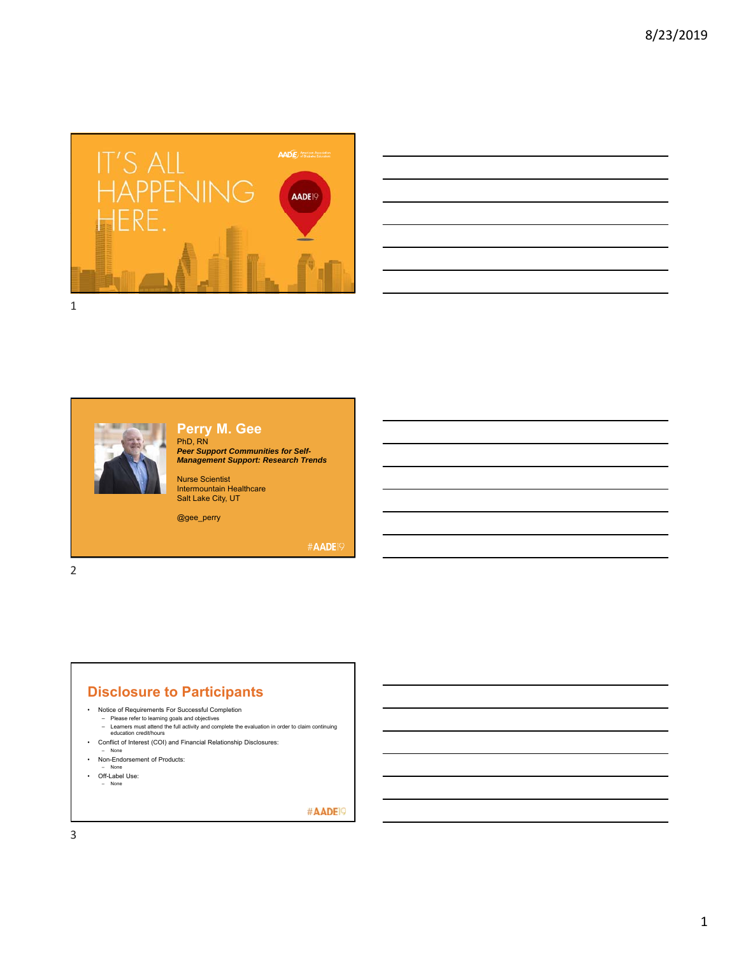

|                                                                                                                       |  |  | <b>Contract Contract Contract</b> |
|-----------------------------------------------------------------------------------------------------------------------|--|--|-----------------------------------|
|                                                                                                                       |  |  |                                   |
| <u>a sa salawan sa sana sa sana sa sana sa sana sa sana sa sana sa sana sa sana sa sana sa sana sa sana sa sana s</u> |  |  |                                   |
|                                                                                                                       |  |  |                                   |
| <u> 1989 - Johann Barbara, martxa alemaniar argamento este alemaniar alemaniar alemaniar alemaniar alemaniar a</u>    |  |  |                                   |
|                                                                                                                       |  |  |                                   |
| the contract of the contract of the contract of the contract of                                                       |  |  |                                   |
|                                                                                                                       |  |  |                                   |





## **Perry M. Gee**

PhD, RN *Peer Support Communities for Self-Management Support: Research Trends*

Nurse Scientist Intermountain Healthcare Salt Lake City, UT

@gee\_perry

#AADE<sup>19</sup>

2

## **Disclosure to Participants**

- Notice of Requirements For Successful Completion
	-
- Please refer to learning goals and objectives Learners must attend the full activity and complete the evaluation in order to claim continuing education credit/hours • Conflict of Interest (COI) and Financial Relationship Disclosures:
- None
- Non-Endorsement of Products:
- None
- Off-Label Use: – None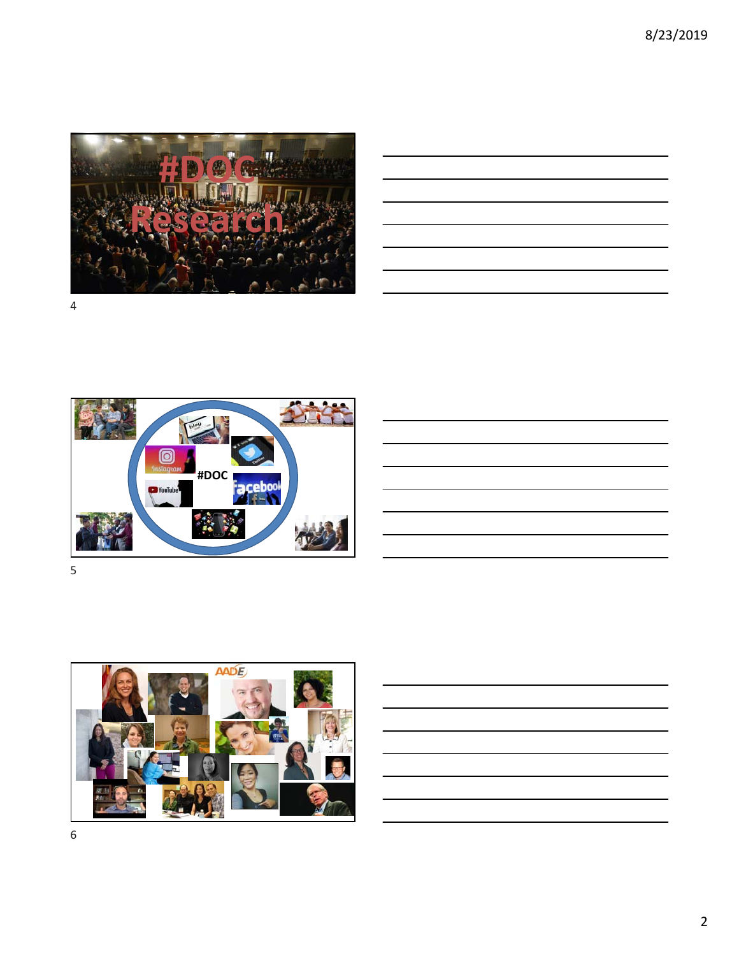8/23/2019



|  | <u> 1989 - Johann Stoff, deutscher Stoffen und der Stoffen und der Stoffen und der Stoffen und der Stoffen und der</u> |  |  |
|--|------------------------------------------------------------------------------------------------------------------------|--|--|
|  | the contract of the contract of the contract of the contract of the contract of                                        |  |  |
|  | <u> Alexandria de la contrada de la contrada de la contrada de la contrada de la contrada de la contrada de la c</u>   |  |  |
|  |                                                                                                                        |  |  |
|  |                                                                                                                        |  |  |
|  |                                                                                                                        |  |  |
|  | <u> 1989 - Andrea Santa Andrea Andrea Andrea Andrea Andrea Andrea Andrea Andrea Andrea Andrea Andrea Andrea Andr</u>   |  |  |
|  |                                                                                                                        |  |  |



5

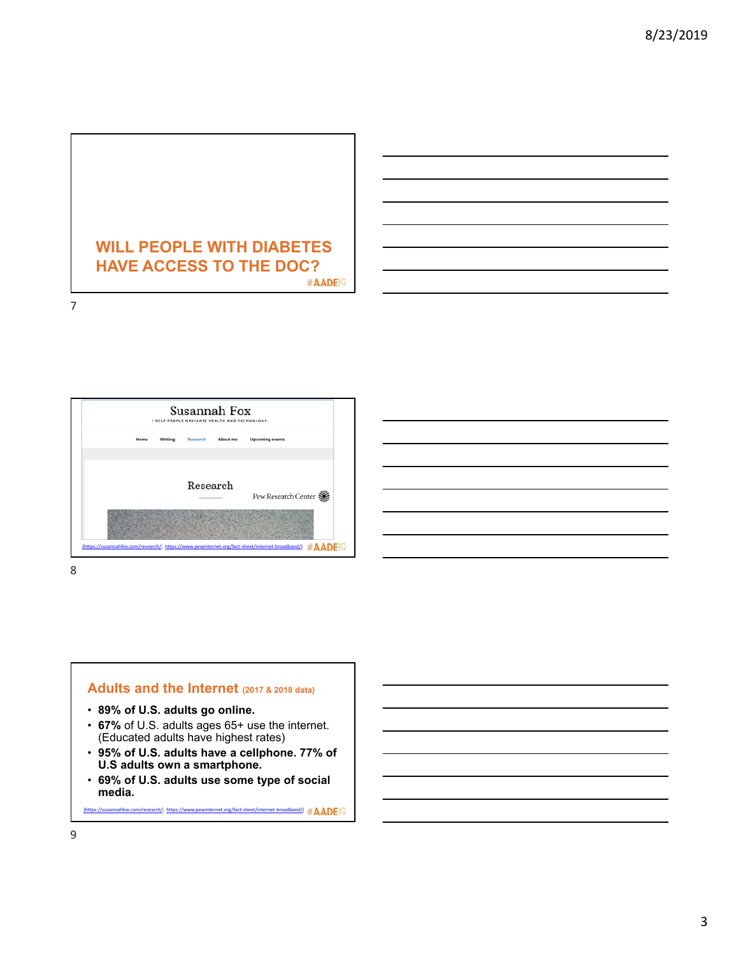

Susannah Fox I HELP PEOPLE NAVIGATE HEALTH AND TECHNOLOGY. Writing Research About me Upcoming events Ho Research Pew Research Center **※** (https://susannahfox.com/research/; https://www.pewinternet.org/fact‐sheet/internet‐broadband/)

8

7

### **Adults and the Internet (2017 & 2018 data)**

- **89% of U.S. adults go online.**
- **67%** of U.S. adults ages 65+ use the internet. (Educated adults have highest rates)
- **95% of U.S. adults have a cellphone. 77% of U.S adults own a smartphone.**
- **69% of U.S. adults use some type of social media.**

(https://susannahfox.com/research/; https://www.pewinternet.org/fact‐sheet/internet‐broadband/)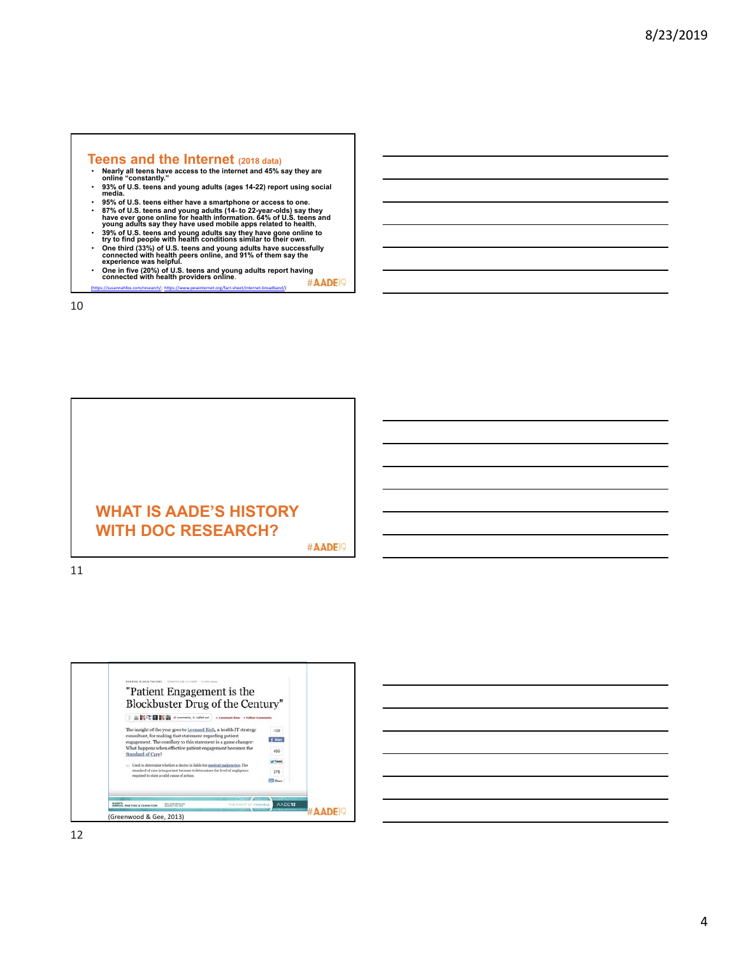## **Teens and the Internet** (2018 data)<br>  $\cdot$  Nearly all teens have access to the internet and 45% s

- **Nearly all teens have access to the internet and 45% say they are online "constantly."**
- 93% of U.S. teens and young adults (ages 14-22) report using social<br> media.<br>• 95% of U.S. teens either have a smartphone or access to one.
- 
- 87% of U.S. teens and young adults (14 to 22-year-olds) say they<br>have ever gone online for health information. 64% of U.S. teens and<br>young adults say they have used mobile apps related to health,<br>• 39% of U.S. teens
- **One in five (20%) of U.S. teens and young adults report having connected with health providers online**.
- #AADE<sup>19</sup> (https://susannahfox.com/research/; https://www.pewinternet.org/fact‐sheet/internet‐broadband/)

10





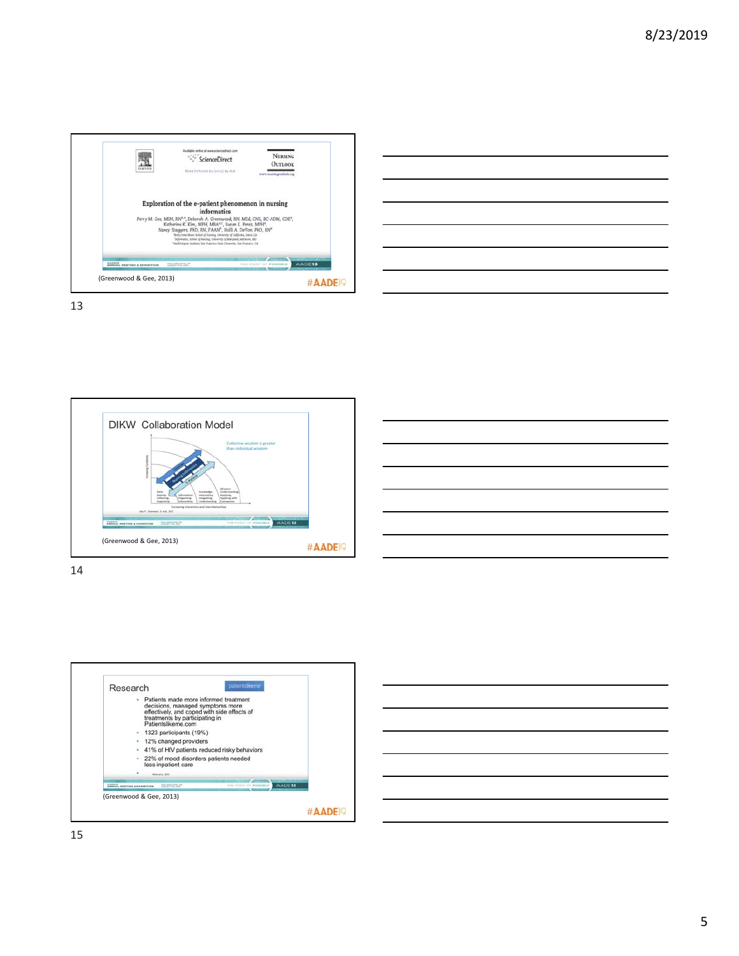









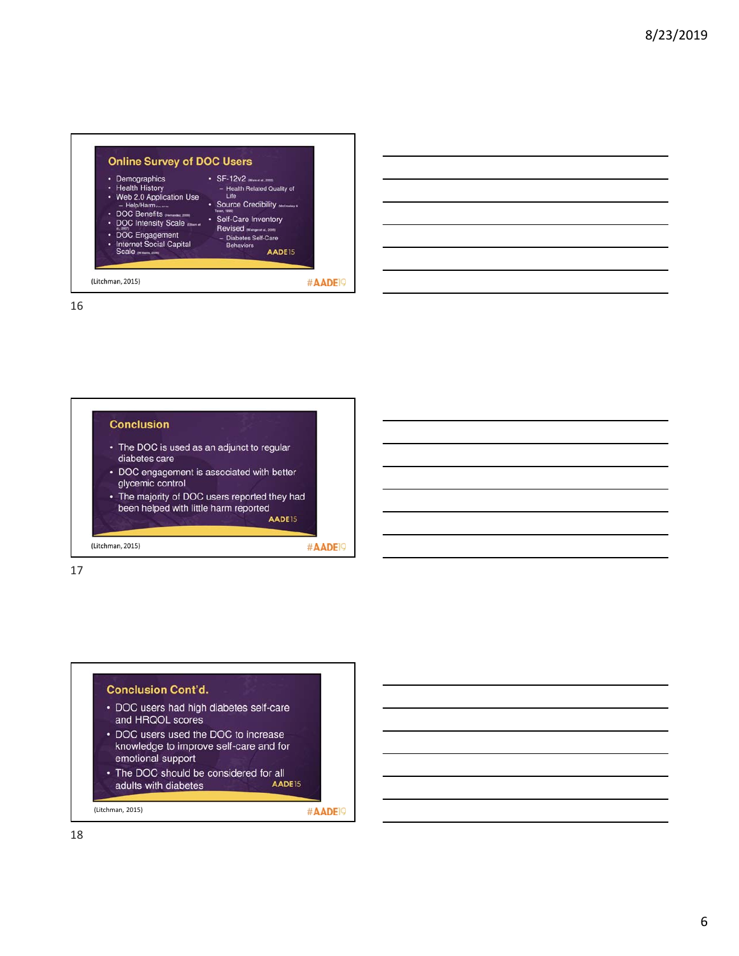

# **Conclusion** • The DOC is used as an adjunct to regular

- diabetes care
- DOC engagement is associated with better glycemic control
- The majority of DOC users reported they had been helped with little harm reported AADE15

#AADE<sup>19</sup>

(Litchman, 2015)

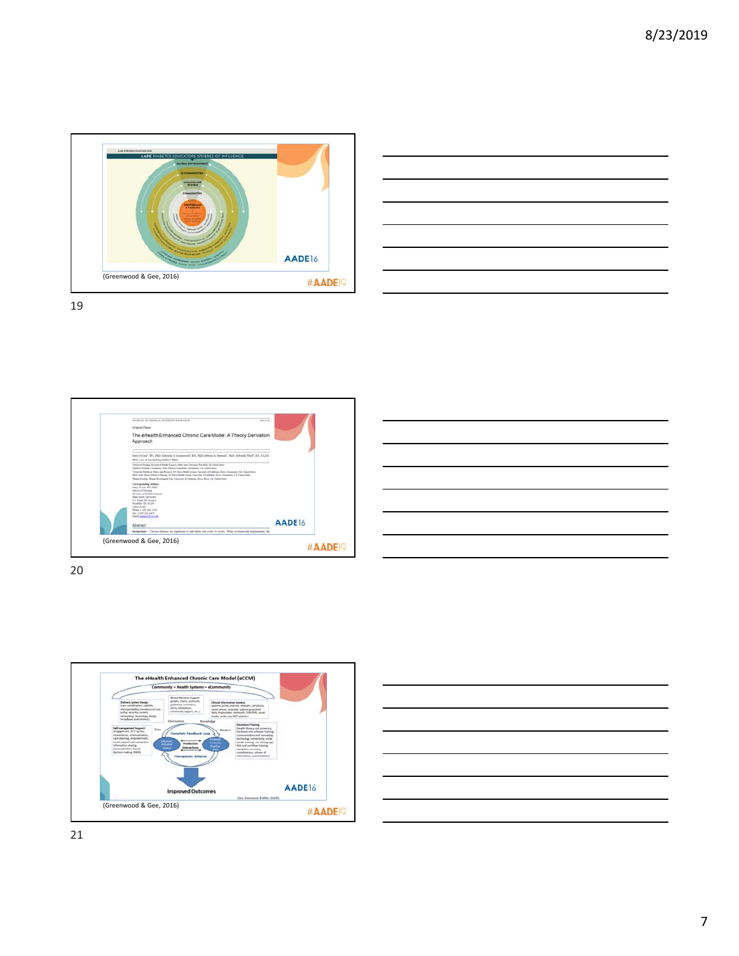













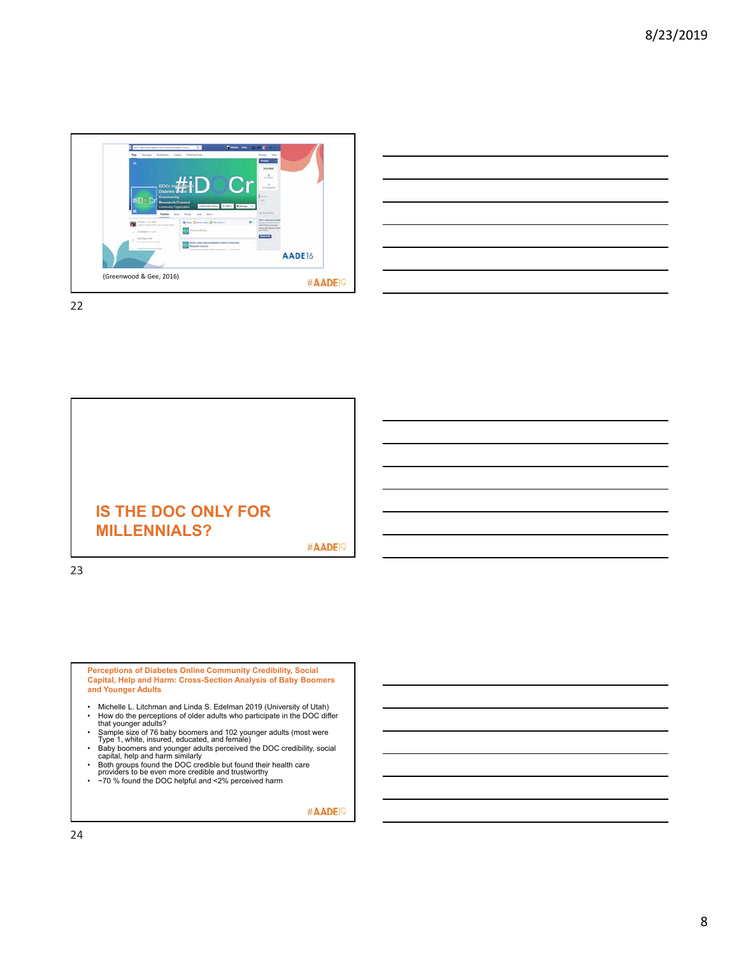

| <u> 1989 - Andrea Andrew Maria (h. 1989).</u>                                                                    |  |  |  |
|------------------------------------------------------------------------------------------------------------------|--|--|--|
| and the control of the control of the control of the control of the control of the control of the control of the |  |  |  |
|                                                                                                                  |  |  |  |
|                                                                                                                  |  |  |  |
| the contract of the contract of the contract of the contract of the contract of the contract of the contract of  |  |  |  |
| the contract of the contract of the contract of                                                                  |  |  |  |
|                                                                                                                  |  |  |  |



23

**Perceptions of Diabetes Online Community Credibility, Social Capital, Help and Harm: Cross-Section Analysis of Baby Boomers and Younger Adults**

- Michelle L. Litchman and Linda S. Edelman 2019 (University of Utah) • How do the perceptions of older adults who participate in the DOC differ that younger adults?
- Sample size of 76 baby boomers and 102 younger adults (most were Type 1, white, insured, educated, and female)
- Baby boomers and younger adults perceived the DOC credibility, social capital, help and harm similarly<br>
Both groups found the DOC credible but found their health care<br>
providers to be even more credible and trustwor
- 
-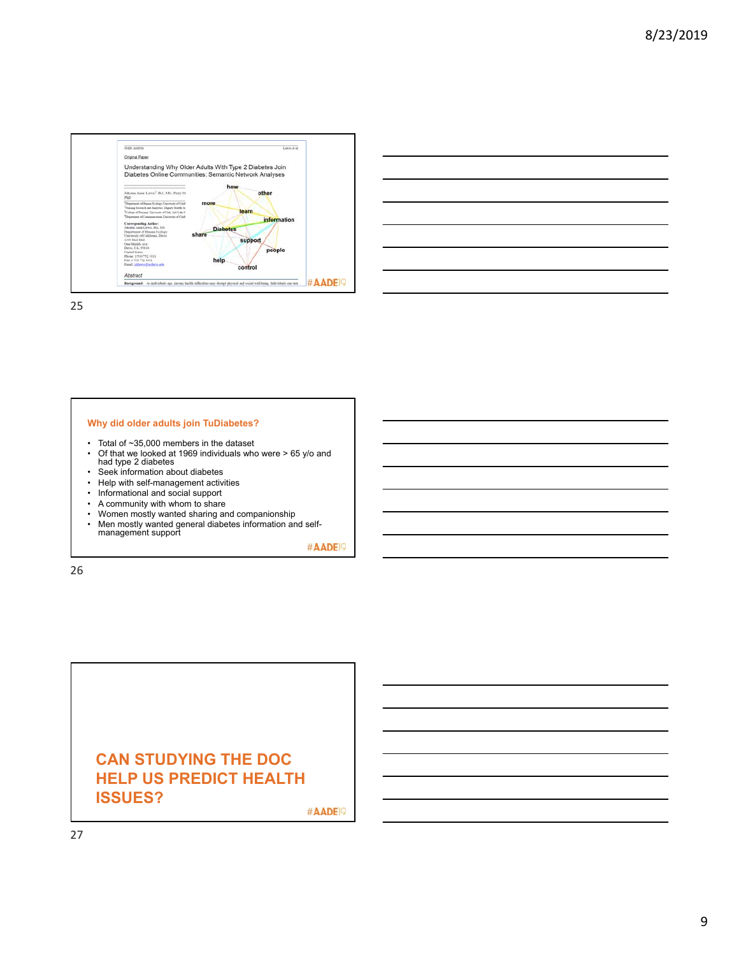



### **Why did older adults join TuDiabetes?**

- Total of ~35,000 members in the dataset
- Of that we looked at 1969 individuals who were > 65 y/o and had type 2 diabetes
- Seek information about diabetes
- Help with self-management activities<br>• Informational and social support
- Informational and social support<br>• A community with whom to share
- A community with whom to share<br>• Women mostly wanted sharing ar
- Women mostly wanted sharing and companionship
- Men mostly wanted general diabetes information and self-management support

#AADE<sup>19</sup>

26

## **CAN STUDYING THE DOC HELP US PREDICT HEALTH ISSUES?**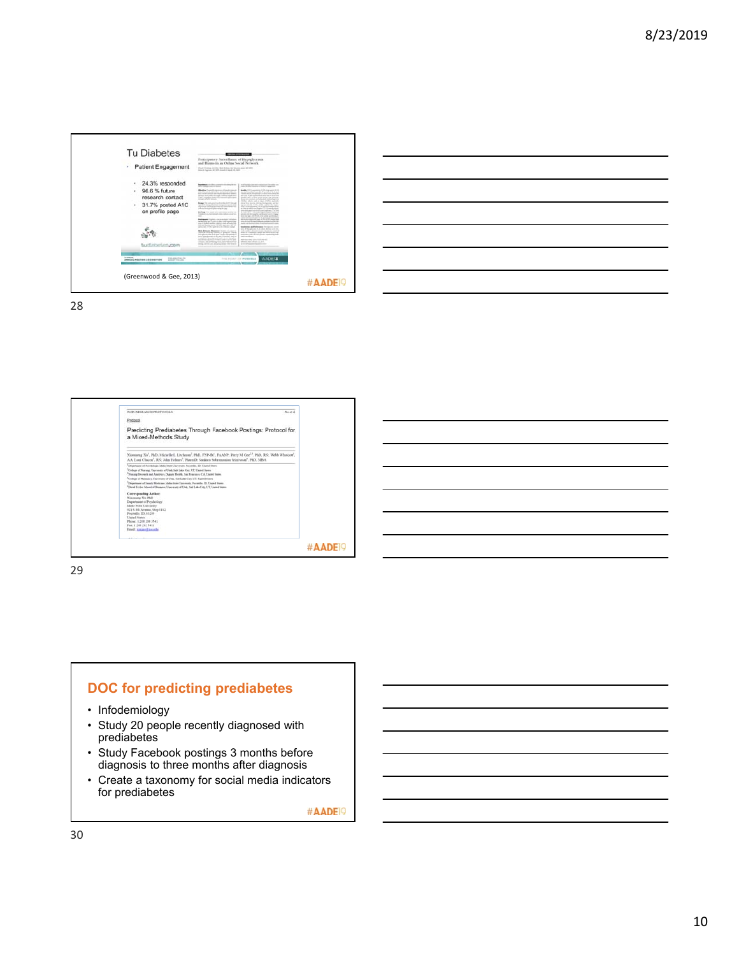





29



- Infodemiology
- Study 20 people recently diagnosed with prediabetes
- Study Facebook postings 3 months before diagnosis to three months after diagnosis
- Create a taxonomy for social media indicators for prediabetes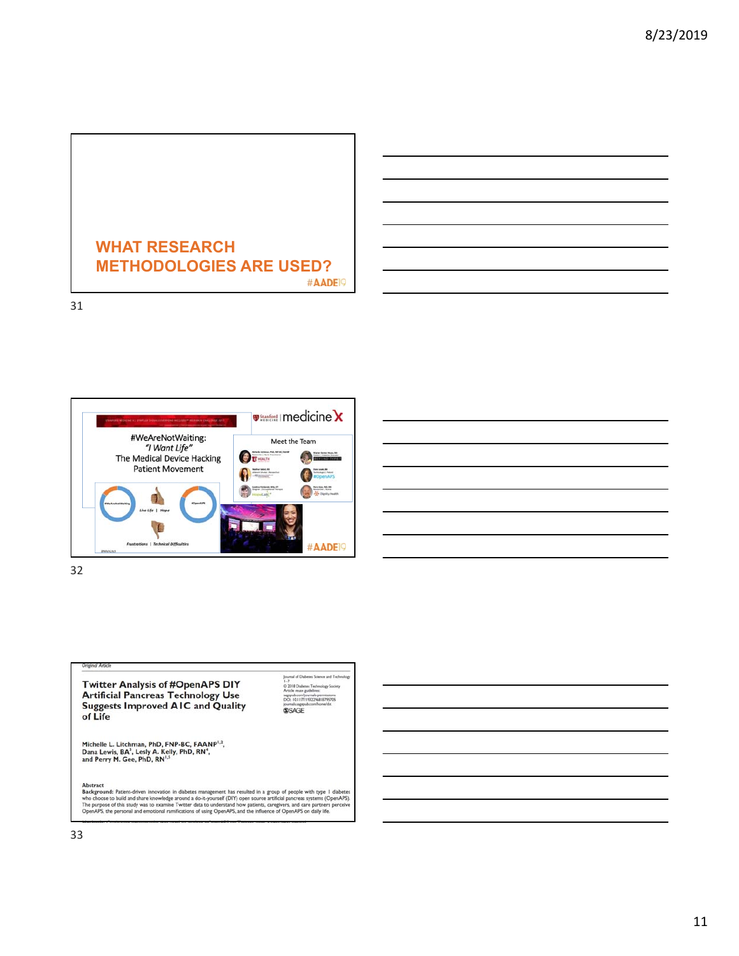

#AADE<sup>19</sup>

31



| <u> 1989 - Johann Stoff, deutscher Stoff, der Stoff, der Stoff, der Stoff, der Stoff, der Stoff, der Stoff, der S</u> |  |                                      |
|-----------------------------------------------------------------------------------------------------------------------|--|--------------------------------------|
| the contract of the contract of the contract of the                                                                   |  | $\overline{\phantom{iiiiiiiiiiiii}}$ |
|                                                                                                                       |  |                                      |
|                                                                                                                       |  |                                      |
|                                                                                                                       |  | ___                                  |
|                                                                                                                       |  |                                      |
| <u> 1989 - Johann Stoff, deutscher Stoffen und der Stoffen und der Stoffen und der Stoffen und der Stoffen und de</u> |  |                                      |

32



**Abstract**<br>**Background:** Patient-driven innovation in diabetes management has resulted in a group of people with type 1 diabetes<br>who choose to build and share knowledge around a do-it-yourself (DIY) open source artificial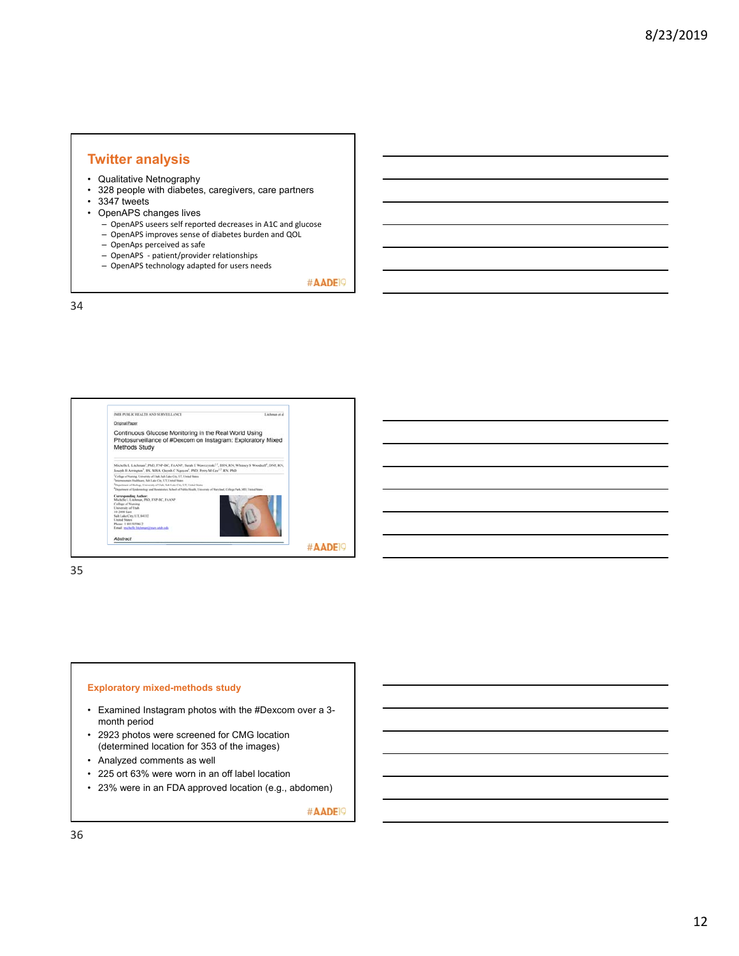### **Twitter analysis**

- Qualitative Netnography
- 328 people with diabetes, caregivers, care partners
- 3347 tweets
- OpenAPS changes lives
	- OpenAPS useers self reported decreases in A1C and glucose
	- OpenAPS improves sense of diabetes burden and QOL
	- OpenAps perceived as safe
	- OpenAPS ‐ patient/provider relationships
	- OpenAPS technology adapted for users needs

#AADE<sup>19</sup>

34



35

#### **Exploratory mixed-methods study**

- Examined Instagram photos with the #Dexcom over a 3 month period
- 2923 photos were screened for CMG location (determined location for 353 of the images)
- Analyzed comments as well
- 225 ort 63% were worn in an off label location
- 23% were in an FDA approved location (e.g., abdomen)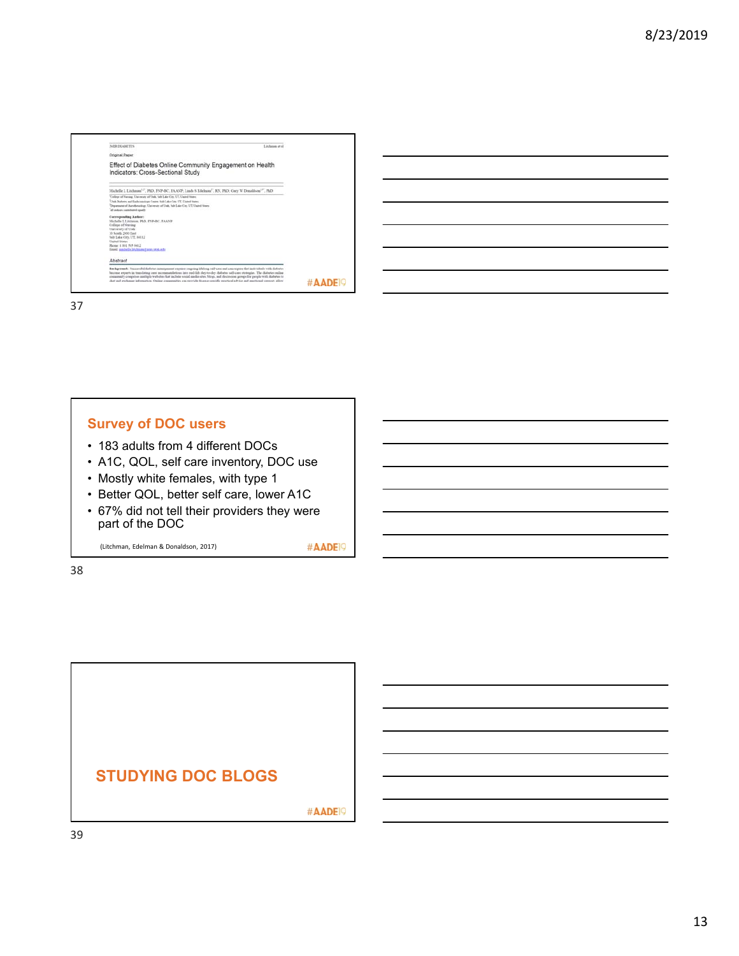| <b>JMR DEARFIES</b>                                                                                                                                                                                                                                                                                                                                                                                                                                                                                                                | Listhause et al. |
|------------------------------------------------------------------------------------------------------------------------------------------------------------------------------------------------------------------------------------------------------------------------------------------------------------------------------------------------------------------------------------------------------------------------------------------------------------------------------------------------------------------------------------|------------------|
| <b>Criginal Paper</b>                                                                                                                                                                                                                                                                                                                                                                                                                                                                                                              |                  |
| Effect of Diabetes Online Community Engagement on Health<br>Indicators: Cross-Sectional Study                                                                                                                                                                                                                                                                                                                                                                                                                                      |                  |
| Michelle L Litchnan <sup>1,2"</sup> , PhD, FNP-BC, FAANP, Linda S Edelmin <sup>1*</sup> , RN, PhD; Garr W Donaldson <sup>1,36</sup> , PhD                                                                                                                                                                                                                                                                                                                                                                                          |                  |
| 'College of Norsing University of Unit, Sab Lake City, UT, United States<br>This District and Enforcement Cours, Salt Lake Cay, UT, United States<br>Department of Aperdonialism: University of Unit, Salt Lake Circ, UT, United States<br>diam's installation continue for                                                                                                                                                                                                                                                        |                  |
| Corresponding Author:<br>Michelle L.I itchesse, PhD, INP-BC, EAANP<br>College of Neming<br>University of Utah<br>10 South 2000 East<br>Salt Lake City, UT, 84112<br><b>Cloched States</b><br>Phone: 1.801 585 6612<br>Esselt midwile Industry/Internet-Automate                                                                                                                                                                                                                                                                    |                  |
| Ahstract                                                                                                                                                                                                                                                                                                                                                                                                                                                                                                                           |                  |
| Background: Neccessful diabetes management receipes organize lifelong self-care and can receipe that individuals with diabetes<br>become experts in translating cere recommendations into real-life day-to-day disturbes self-cere strategies. The distures value<br>consensity comprises multiple websites that include vocal media sites. Mogs, and discossion grows for people with disbetes to<br>chat and exchange information. Online communities can provide disease-specific practical advice and emotional species, allow | #AADEI           |

### **Survey of DOC users**

- 183 adults from 4 different DOCs
- A1C, QOL, self care inventory, DOC use
- Mostly white females, with type 1
- Better QOL, better self care, lower A1C
- 67% did not tell their providers they were part of the DOC

(Litchman, Edelman & Donaldson, 2017)

#AADE<sup>19</sup>

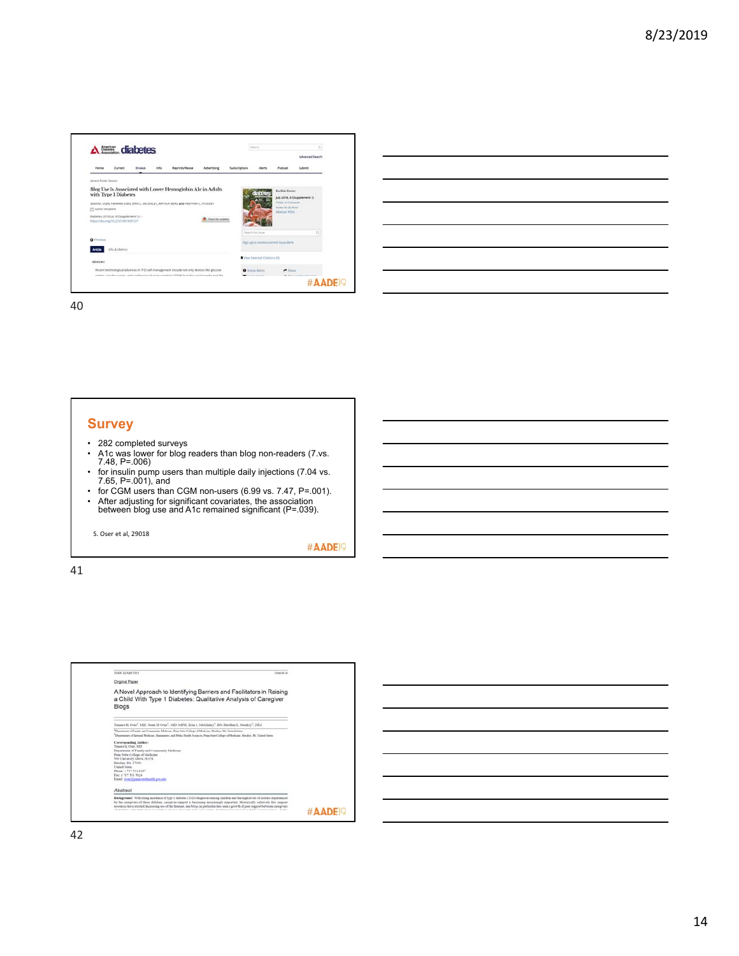

| <u> 1989 - Jan Samuel Barbara, margaret e seu a component de la propia de la propia de la propia de la propia de</u>  |  |  |  |
|-----------------------------------------------------------------------------------------------------------------------|--|--|--|
| <u> 1989 - Johann Stoff, amerikansk politiker (d. 1989)</u>                                                           |  |  |  |
| <u> 1989 - Andrea Andrew Maria (h. 1989).</u>                                                                         |  |  |  |
| <u> 1989 - Johann Stoff, deutscher Stoff, der Stoff, der Stoff, der Stoff, der Stoff, der Stoff, der Stoff, der S</u> |  |  |  |
| <u> 1989 - Andrea Santa Andrea Andrea Andrea Andrea Andrea Andrea Andrea Andrea Andrea Andrea Andrea Andrea Andr</u>  |  |  |  |
| <u> 1989 - Andrea Santa Andrea Andrea Andrea Andrea Andrea Andrea Andrea Andrea Andrea Andrea Andrea Andrea Andr</u>  |  |  |  |
|                                                                                                                       |  |  |  |

# **Survey**

- 282 completed surveys
- A1c was lower for blog readers than blog non-readers (7.vs. 7.48, P=.006)
- for insulin pump users than multiple daily injections (7.04 vs. 7.65, P=.001), and
- for CGM users than CGM non-users (6.99 vs. 7.47, P=.001).
- After adjusting for significant covariates, the association between blog use and A1c remained significant (P=.039).

S. Oser et al, 29018

#AADE<sup>19</sup>

 $\overline{a}$ 

| <b>IME DIARETES</b><br>Churt at all                                                                                                                                                                                                                                                                                                                                                                         |
|-------------------------------------------------------------------------------------------------------------------------------------------------------------------------------------------------------------------------------------------------------------------------------------------------------------------------------------------------------------------------------------------------------------|
| <b>Original Paper</b>                                                                                                                                                                                                                                                                                                                                                                                       |
| A Novel Approach to Identifying Barriers and Facilitators in Raising<br>a Child With Type 1 Diabetes: Qualitative Analysis of Caregiver<br>Blogs                                                                                                                                                                                                                                                            |
| Tanaea K Osar <sup>1</sup> , MD; Sean M Oser <sup>1</sup> , MD; MPH; Erin L McGinley <sup>1</sup> , BS; Heather L Stuckey <sup>2</sup> , DEd                                                                                                                                                                                                                                                                |
| Department of Fermits and Community Medicine. Fens State College of Medicine. Horders PA, United States.<br>Departments of Januari Medicans, Hammeney, and Public Health Sciences, Pean State College of Medicans, Heraber, DJ, United States                                                                                                                                                               |
| Curreponding Author:<br>Timates K Over 54D<br>Department of Family and Community Medicine<br>Penn State College of Medicine<br>500 University Drive, 16-154.<br>Hershey, PA. 17050<br><b>Elephand States</b><br>Phone: 1 717 531 8187<br>Fax: 1717 531 5024<br>Essail teamingspeakershealth.pen.edu                                                                                                         |
| Abstract                                                                                                                                                                                                                                                                                                                                                                                                    |
| Backgreened: With rising sucklessie of type 1 disbetes (T1D) diagnoses nowng children and the high levels of distress experienced<br>by the compivers of these children, compiver support is becoming increasingly important. Historically, relatively faw support<br>researces laws existed. Increasing use of the Internet, and blogs in particular, has seen a growth of your support between caregivers |

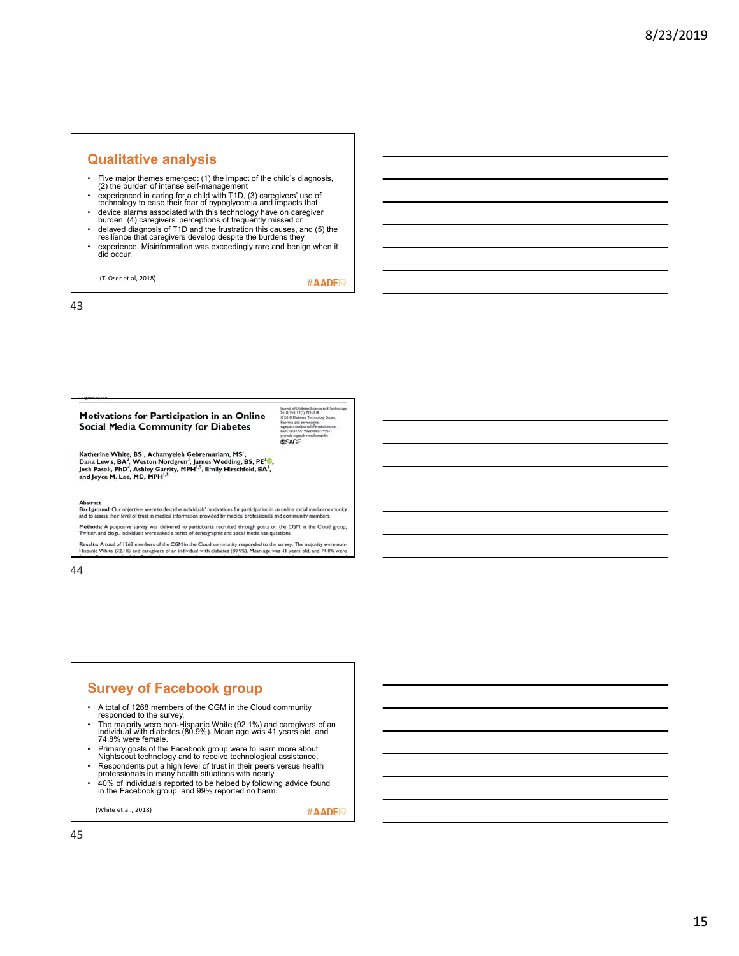### **Qualitative analysis**

- Five major themes emerged: (1) the impact of the child's diagnosis, (2) the burden of intense self-management
- experienced in caring for a child with T1D, (3) caregivers' use of technology to ease their fear of hypoglycemia and impacts that
- device alarms associated with this technology have on caregiver burden, (4) caregivers' perceptions of frequently missed or
- delayed diagnosis of T1D and the frustration this causes, and (5) the resilience that caregivers develop despite the burdens they
- experience. Misinformation was exceedingly rare and benign when it did occur.

(T. Oser et al, 2018)

#AADE<sup>9</sup>

43

### **Motivations for Participation in an Online Social Media Community for Diabetes**

Journal of Diabetes Science and Techn<br>2018, Vol. 12(3) 712–718<br>© 2018 Diabetes Technology Society<br>Reprints and permissions<br>sagepub.com/purnals/Permissions.mar<br>DOL: 10.1177/1992296817749611<br>DOL: 10.177/1992296817749611 **SSAGE** 

Katherine White, BS<sup>1</sup>, Achamyeleh Gebremariam, MS<sup>1</sup>,<br>Dana Lewis, BA<sup>2</sup>, Weston Nordgren<sup>3</sup>, James Wedding, BS, PE<sup>3</sup>®,<br>Josh Pasek, PhD<sup>4</sup>, Ashley Garrity, MPH<sup>1,5</sup>, Emily Hirschfeld, BA<sup>1</sup>,<br>and Joyce M. Lee, MD, MPH<sup>1,5</sup>

Abstract<br>Background: Our objectives were to describe individuals' motivations for participation in an online social media co<br>and to assess their level of trust in medical information provided by medical professionals and c

Methods: A purposive survey was delivered to participants recruited through posts on the CGM in the Cloud group,<br>Twitter, and blogs. Individuals were asked a series of demographic and social media use questions.

Results: A total of 1268 members of the CGM in the Cloud community responded to the survey. The majority were non-<br>Hispanic White (92.1%) and caregivers of an individual with diabetes (80.9%). Mean age was 41 years old, an

44

### **Survey of Facebook group**

- A total of 1268 members of the CGM in the Cloud community
- responded to the survey.<br>The majority were non-Hispanic White (92.1%) and caregivers of an • The majority were non-Hispanic White (92.1%) and caregivers of an<br> individual with diabetes (80.9%). Mean age was 41 years old, and<br>74.8% were female.
- Primary goals of the Facebook group were to learn more about
- Nightscout technology and to receive technological assistance. Respondents put a high level of trust in their peers versus health professionals in many health situations with nearly
- 40% of individuals reported to be helped by following advice found in the Facebook group, and 99% reported no harm.

(White et.al., 2018)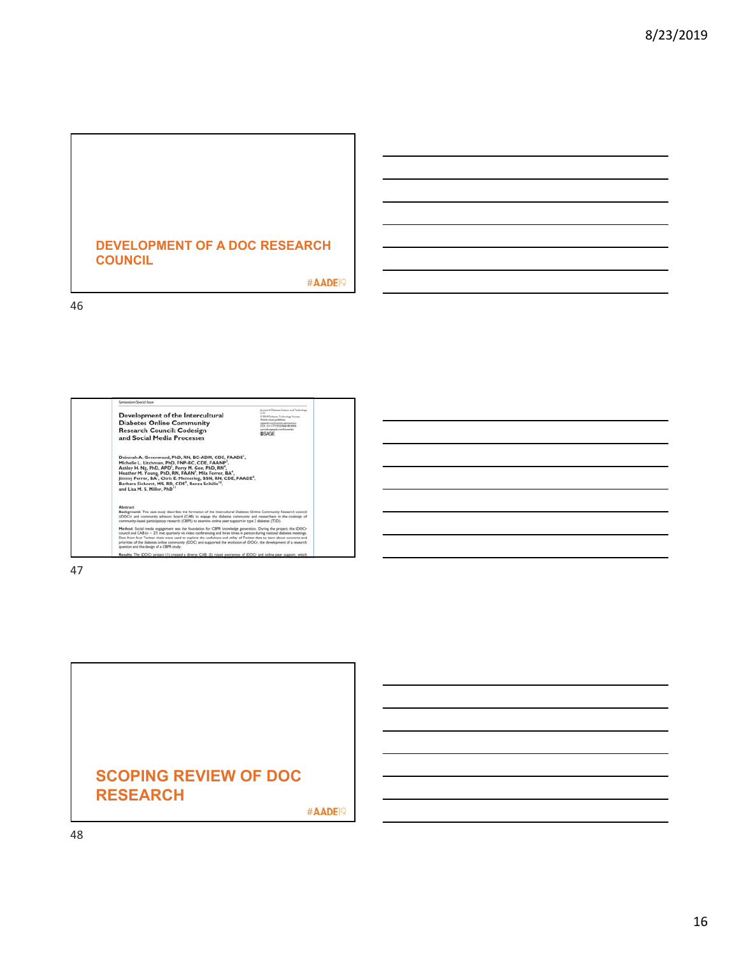### **DEVELOPMENT OF A DOC RESEARCH COUNCIL**

#AADE<sub>19</sub>

46

| NURSIANUS 204023, USPA                                                                                                                                                                                                                                                                                                                                                                                                                                                                                                                        |                                                                                                                                                                                                                                |
|-----------------------------------------------------------------------------------------------------------------------------------------------------------------------------------------------------------------------------------------------------------------------------------------------------------------------------------------------------------------------------------------------------------------------------------------------------------------------------------------------------------------------------------------------|--------------------------------------------------------------------------------------------------------------------------------------------------------------------------------------------------------------------------------|
| Development of the Intercultural<br><b>Diabetes Online Community</b><br><b>Research Council: Codesign</b><br>and Social Media Processes                                                                                                                                                                                                                                                                                                                                                                                                       | Instruct of Dishanos Science and Tachimikop<br>$1 - 41$<br>C 2019 Chairman Tachmaloga Sources<br>Article recors published<br>Callie industry for except the age of the state<br>anaroak sagapuku soruNamaridan<br><b>BRAGE</b> |
| Deborah A. Greenwood, PhD, RN, BC-ADM, CDE, FAADE',<br>Michelle L. Litchman, PhD, FNP-BC, CDE, FAANP <sup>2</sup> ,<br>Ashley H. Ng, PhD, APD <sup>1</sup> , Perry M. Gee, PhD, RN <sup>4</sup> ,<br>Heather M. Young, PhD, RN, FAAN', Mila Ferrer, BA',<br>Jimmy Ferrer, BA <sup>7</sup> , Chris E. Memering, BSN, RN, CDE, FAADE <sup>e</sup> ,<br>Barbara Eichorst, MS, RD, CDE <sup>9</sup> , Renza Scibilia <sup>10</sup> ,<br>and Lisa M. S. Miller, PhD                                                                                |                                                                                                                                                                                                                                |
| Abstract<br>Background: This case study describes the formation of the Intercultural Diabetes Online Community Research council<br>(DOCr) and community advisory board (CAB) to engage the diabetes community and researchers in the codesign of<br>community-based participatory research (CBPR) to examine orders peer support in type 2 diabetes (T2D).                                                                                                                                                                                    |                                                                                                                                                                                                                                |
| Method: Social media engagement was the foundation for CBPR knowledge generation. During the project, the IDOCr<br>council and CAB (n = 27) met quarterly via video conferencing and three times in person during national diabetes meetings.<br>Data from four Twitter cluts were used to explore the usefulness and utility of Twitter data to learn about concerns and<br>priorities of the dabetes online community (DOC) and supported the evolution of (DOCr, the development of a research<br>question and the design of a CBPR study. |                                                                                                                                                                                                                                |
| Results: The IDOCr project (1) created a diverse CAB; (2) raised awareness of IDOCr and online peer support, which                                                                                                                                                                                                                                                                                                                                                                                                                            |                                                                                                                                                                                                                                |

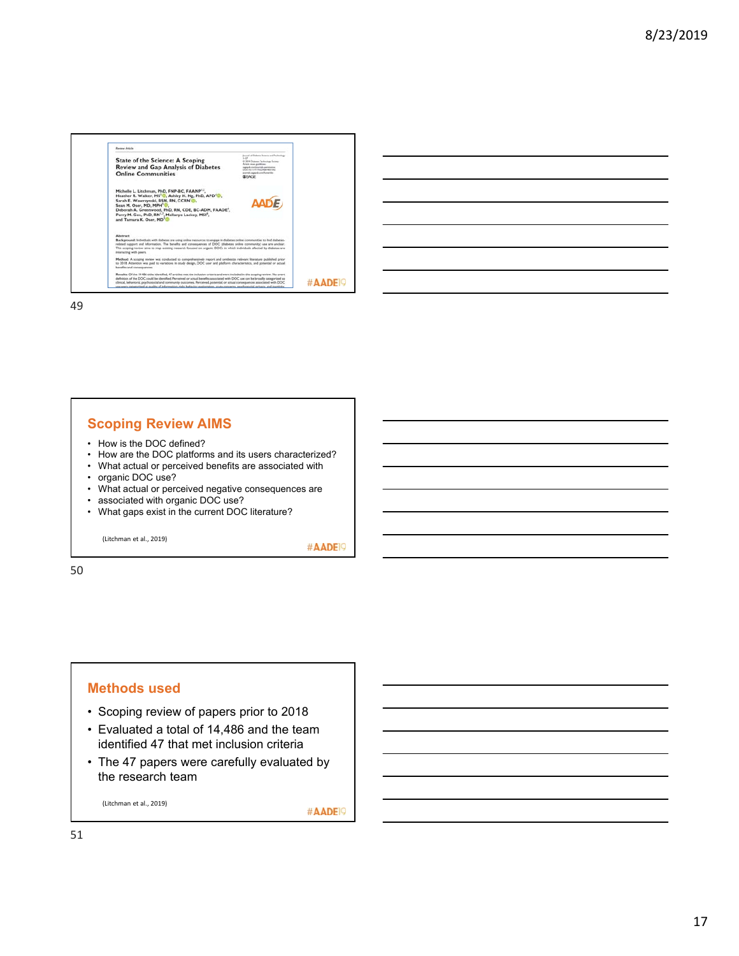

| the control of the control of the control of the control of the control of the control of the control of the control of the control of the control of the control of the control of the control of the control of the control |  |  |
|-------------------------------------------------------------------------------------------------------------------------------------------------------------------------------------------------------------------------------|--|--|
| <u> 1989 - Andrea Andrew Maria (h. 1989).</u>                                                                                                                                                                                 |  |  |
| ,我们也不会有什么?""我们的人,我们也不会有什么?""我们的人,我们也不会有什么?""我们的人,我们也不会有什么?""我们的人,我们也不会有什么?""我们的人                                                                                                                                              |  |  |
| <u> 1989 - Andrea Santa Andrea Andrea Andrea Andrea Andrea Andrea Andrea Andrea Andrea Andrea Andrea Andrea Andr</u>                                                                                                          |  |  |
| the control of the control of the control of the control of the control of the control of the control of the control of the control of the control of the control of the control of the control of the control of the control |  |  |

### **Scoping Review AIMS**

- How is the DOC defined?
- How are the DOC platforms and its users characterized?
- What actual or perceived benefits are associated with
- organic DOC use?
- What actual or perceived negative consequences are
- associated with organic DOC use?
- What gaps exist in the current DOC literature?

(Litchman et al., 2019)

#AADE<sup>19</sup>

50

### **Methods used**

- Scoping review of papers prior to 2018
- Evaluated a total of 14,486 and the team identified 47 that met inclusion criteria
- The 47 papers were carefully evaluated by the research team

(Litchman et al., 2019)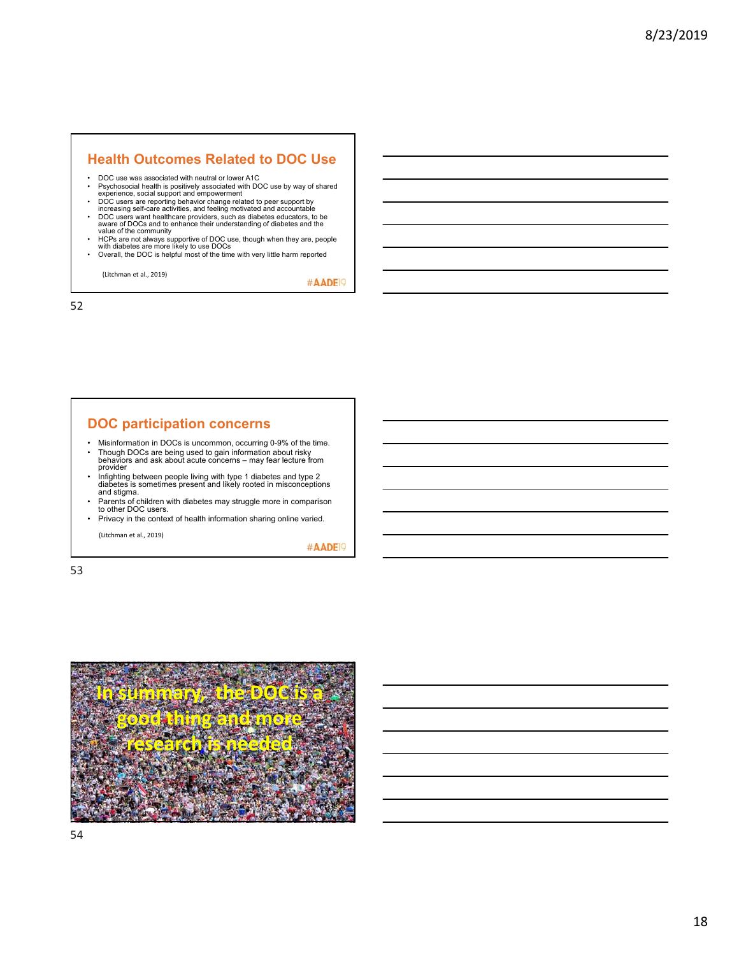### **Health Outcomes Related to DOC Use**

- DOC use was associated with neutral or lower A1C
- Psychosocial health is positively associated with DOC use by way of shared experience, social support and empowerment
- 
- DOC users are reporting behavior change related to peer support by<br>increasing self-care activities, and feeling motivated and accountable<br>• DOC users want healthcare providers, such as diabetes educators, to be<br>aware of
- HCPs are not always supportive of DOC use, though when they are, people with diabetes are more likely to use DOCs Overall, the DOC is helpful most of the time with very little harm reported
- 

(Litchman et al., 2019)

#AADE<sup>19</sup>

52

### **DOC participation concerns**

- Misinformation in DOCs is uncommon, occurring 0-9% of the time. • Though DOCs are being used to gain information about risky behaviors and ask about acute concerns – may fear lecture from
- provider • Infighting between people living with type 1 diabetes and type 2 diabetes is sometimes present and likely rooted in misconceptions and stigma.
- Parents of children with diabetes may struggle more in comparison to other DOC users.
- Privacy in the context of health information sharing online varied.

(Litchman et al., 2019)

#AADE<sup>19</sup>